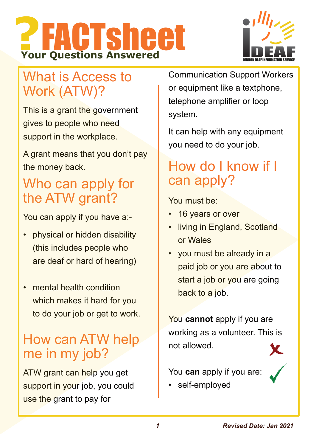



# What is Access to Work (ATW)?

This is a grant the government gives to people who need support in the workplace.

A grant means that you don't pay the money back.

# Who can apply for the ATW grant?

You can apply if you have a:-

- physical or hidden disability (this includes people who are deaf or hard of hearing)
- mental health condition which makes it hard for you to do your job or get to work.

# How can ATW help me in my job?

ATW grant can help you get support in your job, you could use the grant to pay for

Communication Support Workers or equipment like a textphone, telephone amplifier or loop system.

It can help with any equipment you need to do your job.

# How do I know if I can apply?

You must be:

- 16 years or over
- living in England, Scotland or Wales
- you must be already in a paid job or you are about to start a job or you are going back to a job.

You **cannot** apply if you are working as a volunteer. This is not allowed.

You **can** apply if you are:

self-employed